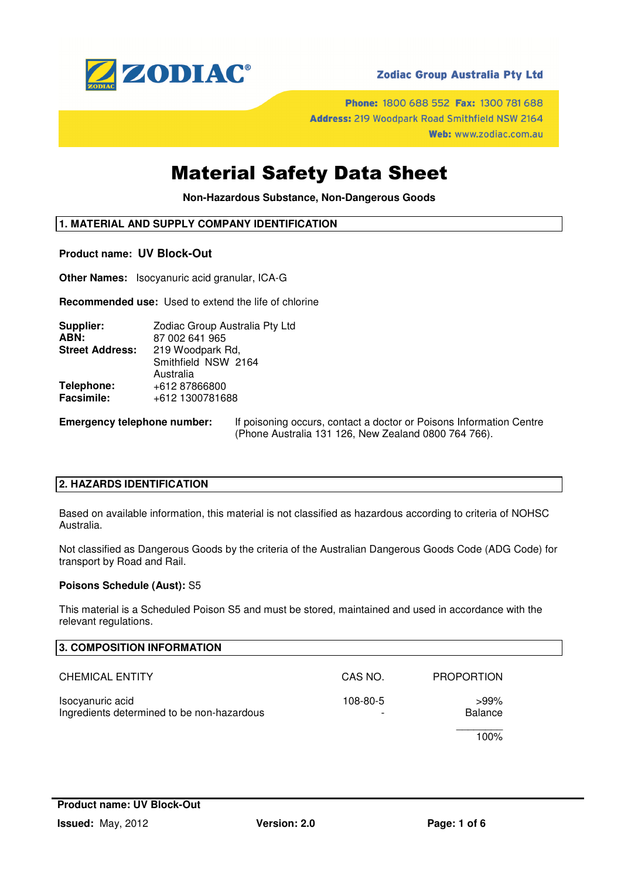

## **Zodiac Group Australia Pty Ltd**

Phone: 1800 688 552 Fax: 1300 781 688 Address: 219 Woodpark Road Smithfield NSW 2164 Web: www.zodiac.com.au

## Material Safety Data Sheet

**Non-Hazardous Substance, Non-Dangerous Goods** 

## **1. MATERIAL AND SUPPLY COMPANY IDENTIFICATION**

#### **Product name: UV Block-Out**

**Other Names:** Isocyanuric acid granular, ICA-G

**Recommended use:** Used to extend the life of chlorine

| Supplier:              | Zodiac Group Australia Pty Ltd |
|------------------------|--------------------------------|
| ABN:                   | 87 002 641 965                 |
| <b>Street Address:</b> | 219 Woodpark Rd,               |
|                        | Smithfield NSW 2164            |
|                        | Australia                      |
| Telephone:             | +612 87866800                  |
| <b>Facsimile:</b>      | +612 1300781688                |
|                        |                                |

**Emergency telephone number:** If poisoning occurs, contact a doctor or Poisons Information Centre (Phone Australia 131 126, New Zealand 0800 764 766).

## **2. HAZARDS IDENTIFICATION**

Based on available information, this material is not classified as hazardous according to criteria of NOHSC Australia.

Not classified as Dangerous Goods by the criteria of the Australian Dangerous Goods Code (ADG Code) for transport by Road and Rail.

#### **Poisons Schedule (Aust):** S5

This material is a Scheduled Poison S5 and must be stored, maintained and used in accordance with the relevant regulations.

| 3. COMPOSITION INFORMATION                                     |          |                           |  |
|----------------------------------------------------------------|----------|---------------------------|--|
| <b>CHEMICAL ENTITY</b>                                         | CAS NO.  | <b>PROPORTION</b>         |  |
| Isocyanuric acid<br>Ingredients determined to be non-hazardous | 108-80-5 | $>99\%$<br><b>Balance</b> |  |
|                                                                |          | 100%                      |  |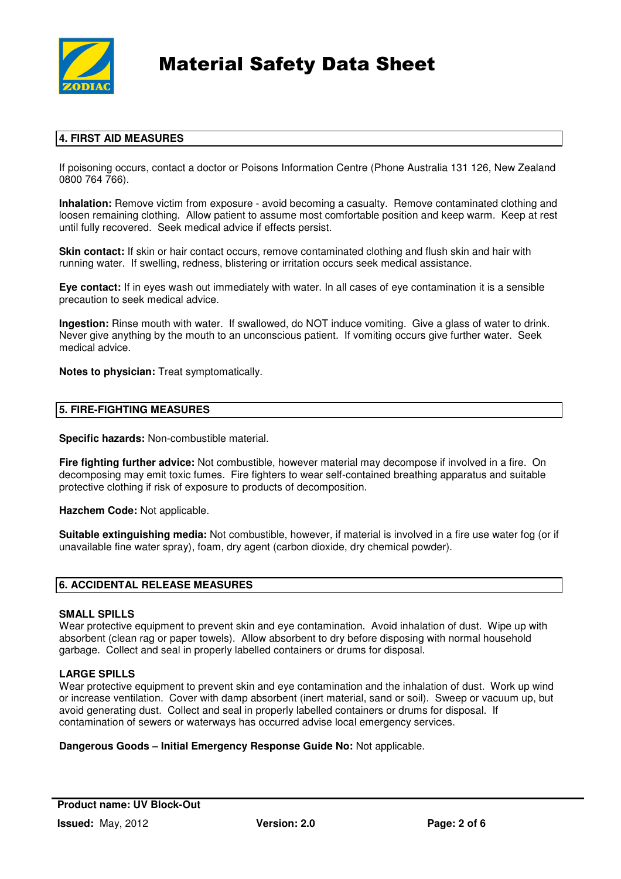

## **4. FIRST AID MEASURES**

If poisoning occurs, contact a doctor or Poisons Information Centre (Phone Australia 131 126, New Zealand 0800 764 766).

**Inhalation:** Remove victim from exposure - avoid becoming a casualty. Remove contaminated clothing and loosen remaining clothing. Allow patient to assume most comfortable position and keep warm. Keep at rest until fully recovered. Seek medical advice if effects persist.

**Skin contact:** If skin or hair contact occurs, remove contaminated clothing and flush skin and hair with running water. If swelling, redness, blistering or irritation occurs seek medical assistance.

**Eye contact:** If in eyes wash out immediately with water. In all cases of eye contamination it is a sensible precaution to seek medical advice.

**Ingestion:** Rinse mouth with water. If swallowed, do NOT induce vomiting. Give a glass of water to drink. Never give anything by the mouth to an unconscious patient. If vomiting occurs give further water. Seek medical advice.

**Notes to physician:** Treat symptomatically.

## **5. FIRE-FIGHTING MEASURES**

**Specific hazards:** Non-combustible material.

**Fire fighting further advice:** Not combustible, however material may decompose if involved in a fire. On decomposing may emit toxic fumes. Fire fighters to wear self-contained breathing apparatus and suitable protective clothing if risk of exposure to products of decomposition.

**Hazchem Code:** Not applicable.

**Suitable extinguishing media:** Not combustible, however, if material is involved in a fire use water fog (or if unavailable fine water spray), foam, dry agent (carbon dioxide, dry chemical powder).

#### **6. ACCIDENTAL RELEASE MEASURES**

#### **SMALL SPILLS**

Wear protective equipment to prevent skin and eye contamination. Avoid inhalation of dust. Wipe up with absorbent (clean rag or paper towels). Allow absorbent to dry before disposing with normal household garbage. Collect and seal in properly labelled containers or drums for disposal.

#### **LARGE SPILLS**

Wear protective equipment to prevent skin and eve contamination and the inhalation of dust. Work up wind or increase ventilation. Cover with damp absorbent (inert material, sand or soil). Sweep or vacuum up, but avoid generating dust. Collect and seal in properly labelled containers or drums for disposal. If contamination of sewers or waterways has occurred advise local emergency services.

**Dangerous Goods – Initial Emergency Response Guide No:** Not applicable.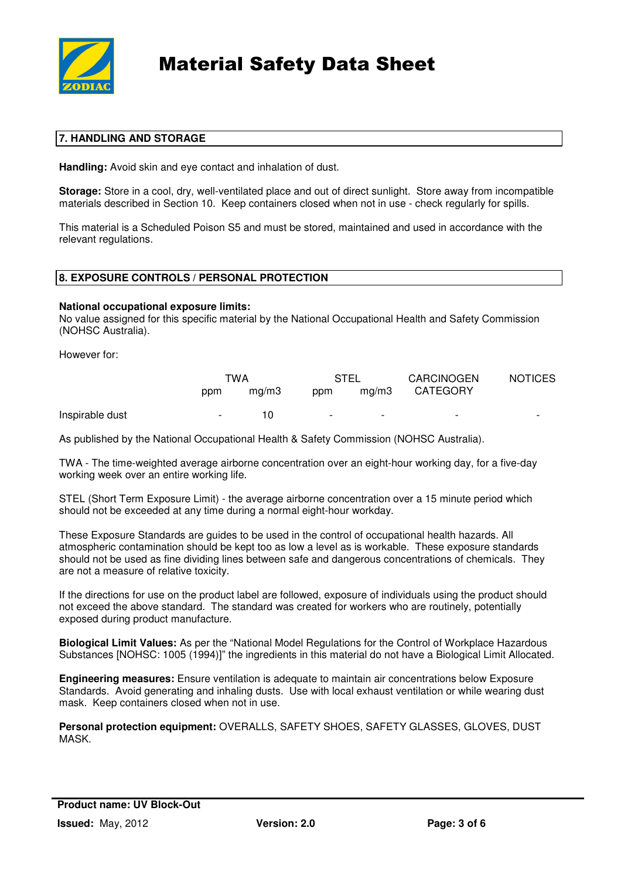

## **7. HANDLING AND STORAGE**

**Handling:** Avoid skin and eye contact and inhalation of dust.

**Storage:** Store in a cool, dry, well-ventilated place and out of direct sunlight. Store away from incompatible materials described in Section 10. Keep containers closed when not in use - check regularly for spills.

This material is a Scheduled Poison S5 and must be stored, maintained and used in accordance with the relevant regulations.

## **8. EXPOSURE CONTROLS / PERSONAL PROTECTION**

#### **National occupational exposure limits:**

No value assigned for this specific material by the National Occupational Health and Safety Commission (NOHSC Australia).

However for:

|                 | TWA    |       | STEL                     |                          | <b>CARCINOGEN</b>        | <b>NOTICES</b>           |
|-----------------|--------|-------|--------------------------|--------------------------|--------------------------|--------------------------|
|                 | ppm    | ma/m3 | ppm                      | ma/m3                    | <b>CATEGORY</b>          |                          |
| Inspirable dust | $\sim$ | 10    | $\overline{\phantom{a}}$ | $\overline{\phantom{0}}$ | $\overline{\phantom{0}}$ | $\overline{\phantom{0}}$ |

As published by the National Occupational Health & Safety Commission (NOHSC Australia).

TWA - The time-weighted average airborne concentration over an eight-hour working day, for a five-day working week over an entire working life.

STEL (Short Term Exposure Limit) - the average airborne concentration over a 15 minute period which should not be exceeded at any time during a normal eight-hour workday.

These Exposure Standards are guides to be used in the control of occupational health hazards. All atmospheric contamination should be kept too as low a level as is workable. These exposure standards should not be used as fine dividing lines between safe and dangerous concentrations of chemicals. They are not a measure of relative toxicity.

If the directions for use on the product label are followed, exposure of individuals using the product should not exceed the above standard. The standard was created for workers who are routinely, potentially exposed during product manufacture.

**Biological Limit Values:** As per the "National Model Regulations for the Control of Workplace Hazardous Substances [NOHSC: 1005 (1994)]" the ingredients in this material do not have a Biological Limit Allocated.

**Engineering measures:** Ensure ventilation is adequate to maintain air concentrations below Exposure Standards. Avoid generating and inhaling dusts. Use with local exhaust ventilation or while wearing dust mask. Keep containers closed when not in use.

**Personal protection equipment:** OVERALLS, SAFETY SHOES, SAFETY GLASSES, GLOVES, DUST **MASK**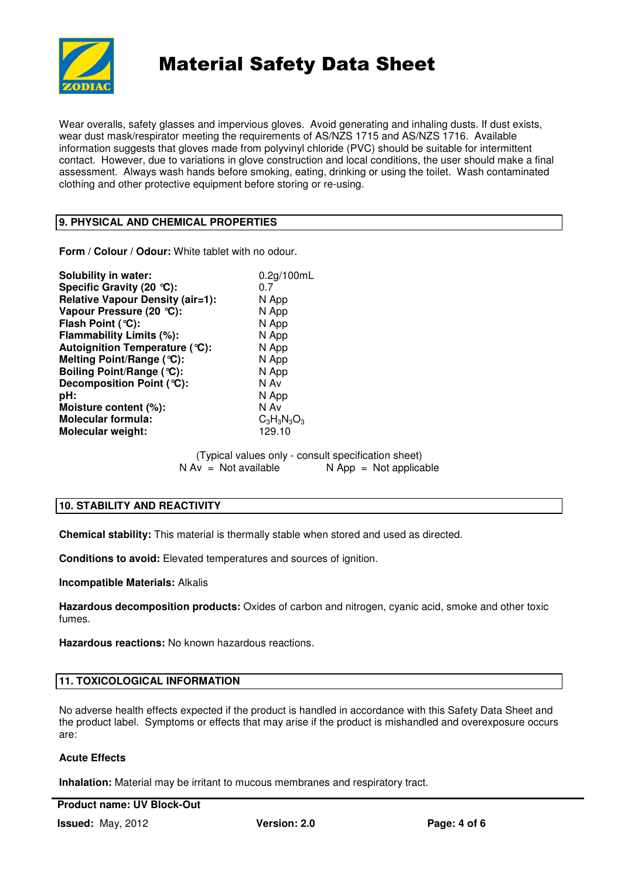

Wear overalls, safety glasses and impervious gloves. Avoid generating and inhaling dusts. If dust exists, wear dust mask/respirator meeting the requirements of AS/NZS 1715 and AS/NZS 1716. Available information suggests that gloves made from polyvinyl chloride (PVC) should be suitable for intermittent contact. However, due to variations in glove construction and local conditions, the user should make a final assessment. Always wash hands before smoking, eating, drinking or using the toilet. Wash contaminated clothing and other protective equipment before storing or re-using.

## **9. PHYSICAL AND CHEMICAL PROPERTIES**

**Form / Colour / Odour:** White tablet with no odour.

| <b>Solubility in water:</b>      | 0.2g/100mL     |  |
|----------------------------------|----------------|--|
| Specific Gravity (20 °C):        | 0.7            |  |
| Relative Vapour Density (air=1): | N App          |  |
| Vapour Pressure (20 °C):         | N App          |  |
| Flash Point (°C):                | N App          |  |
| Flammability Limits (%):         | N App          |  |
| Autoignition Temperature (°C):   | N App          |  |
| Melting Point/Range (°C):        | N App          |  |
| Boiling Point/Range (°C):        | N App          |  |
| Decomposition Point (°C):        | N Av           |  |
| pH:                              | N App          |  |
| Moisture content (%):            | N Av           |  |
| <b>Molecular formula:</b>        | $C_3H_3N_3O_3$ |  |
| Molecular weight:                | 129.10         |  |
|                                  |                |  |

(Typical values only - consult specification sheet)  $N Av = Not available$   $N App = Not applicable$ 

## **10. STABILITY AND REACTIVITY**

**Chemical stability:** This material is thermally stable when stored and used as directed.

**Conditions to avoid:** Elevated temperatures and sources of ignition.

**Incompatible Materials:** Alkalis

**Hazardous decomposition products:** Oxides of carbon and nitrogen, cyanic acid, smoke and other toxic fumes.

**Hazardous reactions:** No known hazardous reactions.

#### **11. TOXICOLOGICAL INFORMATION**

No adverse health effects expected if the product is handled in accordance with this Safety Data Sheet and the product label. Symptoms or effects that may arise if the product is mishandled and overexposure occurs are:

## **Acute Effects**

**Inhalation:** Material may be irritant to mucous membranes and respiratory tract.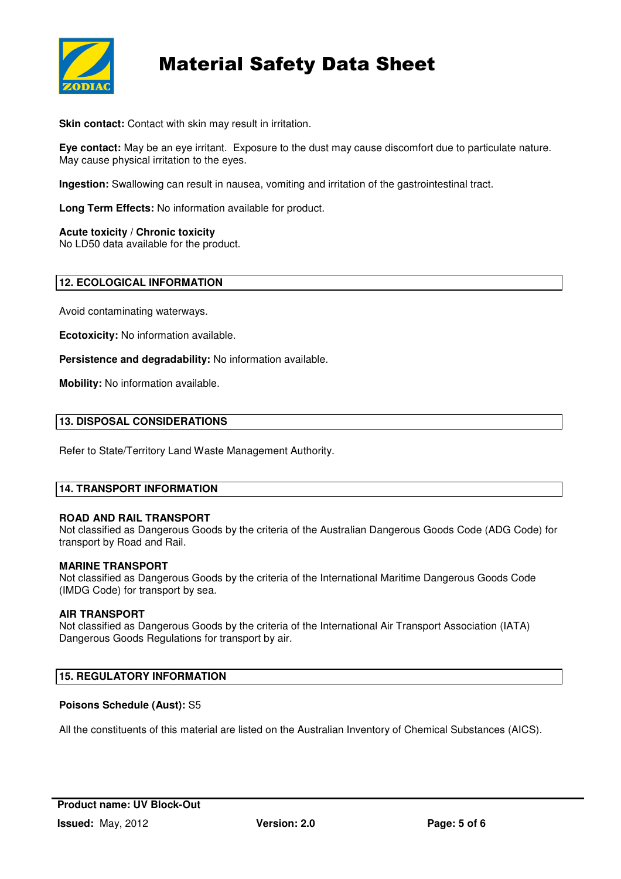

**Skin contact:** Contact with skin may result in irritation.

**Eye contact:** May be an eye irritant. Exposure to the dust may cause discomfort due to particulate nature. May cause physical irritation to the eyes.

**Ingestion:** Swallowing can result in nausea, vomiting and irritation of the gastrointestinal tract.

**Long Term Effects:** No information available for product.

**Acute toxicity / Chronic toxicity** 

No LD50 data available for the product.

## **12. ECOLOGICAL INFORMATION**

Avoid contaminating waterways.

**Ecotoxicity:** No information available.

**Persistence and degradability:** No information available.

**Mobility:** No information available.

#### **13. DISPOSAL CONSIDERATIONS**

Refer to State/Territory Land Waste Management Authority.

## **14. TRANSPORT INFORMATION**

#### **ROAD AND RAIL TRANSPORT**

Not classified as Dangerous Goods by the criteria of the Australian Dangerous Goods Code (ADG Code) for transport by Road and Rail.

#### **MARINE TRANSPORT**

Not classified as Dangerous Goods by the criteria of the International Maritime Dangerous Goods Code (IMDG Code) for transport by sea.

#### **AIR TRANSPORT**

Not classified as Dangerous Goods by the criteria of the International Air Transport Association (IATA) Dangerous Goods Regulations for transport by air.

#### **15. REGULATORY INFORMATION**

#### **Poisons Schedule (Aust):** S5

All the constituents of this material are listed on the Australian Inventory of Chemical Substances (AICS).